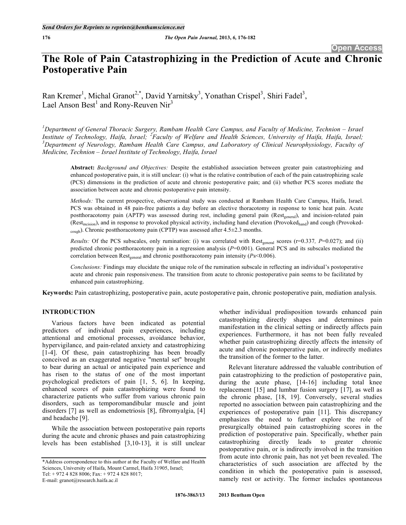# **The Role of Pain Catastrophizing in the Prediction of Acute and Chronic Postoperative Pain**

Ran Kremer<sup>1</sup>, Michal Granot<sup>2,\*</sup>, David Yarnitsky<sup>3</sup>, Yonathan Crispel<sup>3</sup>, Shiri Fadel<sup>3</sup>, Lael Anson Best<sup>1</sup> and Rony-Reuven Nir<sup>3</sup>

 ${}^{1}$ Department of General Thoracic Surgery, Rambam Health Care Campus, and Faculty of Medicine, Technion – Israel Institute of Technology, Haifa, Israel; <sup>2</sup>Faculty of Welfare and Health Sciences, University of Haifa, Haifa, Israel;<br><sup>3</sup>Department of Nouvelogy, Bamban, Health Care Campus, and Laboratom of Clinical Nouvenbusielogy, Eacu *Department of Neurology, Rambam Health Care Campus, and Laboratory of Clinical Neurophysiology, Faculty of Medicine, Technion – Israel Institute of Technology, Haifa, Israel*

**Abstract:** *Background and Objectives:* Despite the established association between greater pain catastrophizing and enhanced postoperative pain, it is still unclear: (i) what is the relative contribution of each of the pain catastrophizing scale (PCS) dimensions in the prediction of acute and chronic postoperative pain; and (ii) whether PCS scores mediate the association between acute and chronic postoperative pain intensity.

*Methods:* The current prospective, observational study was conducted at Rambam Health Care Campus, Haifa, Israel. PCS was obtained in 48 pain-free patients a day before an elective thoracotomy in response to tonic heat pain. Acute postthoracotomy pain (APTP) was assessed during rest, including general pain (Rest<sub>general</sub>), and incision-related pain (Rest<sub>incision</sub>), and in response to provoked physical activity, including hand elevation (Provoked<sub>hand</sub>) and cough (Provokedcough). Chronic postthoracotomy pain (CPTP) was assessed after 4.5±2.3 months.

*Results:* Of the PCS subscales, only rumination: (i) was correlated with Rest<sub>general</sub> scores ( $r=0.337$ ,  $P=0.027$ ); and (ii) predicted chronic postthoracotomy pain in a regression analysis (*P*=0.001). General PCS and its subscales mediated the correlation between Rest<sub>general</sub> and chronic postthoracotomy pain intensity (*Ps*<0.006).

*Conclusions:* Findings may elucidate the unique role of the rumination subscale in reflecting an individual's postoperative acute and chronic pain responsiveness. The transition from acute to chronic postoperative pain seems to be facilitated by enhanced pain catastrophizing.

**Keywords:** Pain catastrophizing, postoperative pain, acute postoperative pain, chronic postoperative pain, mediation analysis.

## **INTRODUCTION**

Various factors have been indicated as potential predictors of individual pain experiences, including attentional and emotional processes, avoidance behavior, hypervigilance, and pain-related anxiety and catastrophizing [1-4]. Of these, pain catastrophizing has been broadly conceived as an exaggerated negative "mental set" brought to bear during an actual or anticipated pain experience and has risen to the status of one of the most important psychological predictors of pain [1, 5, 6]. In keeping, enhanced scores of pain catastrophizing were found to characterize patients who suffer from various chronic pain disorders, such as temporomandibular muscle and joint disorders [7] as well as endometriosis [8], fibromyalgia, [4] and headache [9].

While the association between postoperative pain reports during the acute and chronic phases and pain catastrophizing levels has been established [3,10-13], it is still unclear

E-mail: granot@research.haifa.ac.il

whether individual predisposition towards enhanced pain catastrophizing directly shapes and determines pain manifestation in the clinical setting or indirectly affects pain experiences. Furthermore, it has not been fully revealed whether pain catastrophizing directly affects the intensity of acute and chronic postoperative pain, or indirectly mediates the transition of the former to the latter.

Relevant literature addressed the valuable contribution of pain catastrophizing to the prediction of postoperative pain, during the acute phase, [14-16] including total knee replacement [15] and lumbar fusion surgery [17], as well as the chronic phase, [18, 19]. Conversely, several studies reported no association between pain catastrophizing and the experiences of postoperative pain [11]. This discrepancy emphasizes the need to further explore the role of presurgically obtained pain catastrophizing scores in the prediction of postoperative pain. Specifically, whether pain catastrophizing directly leads to greater chronic postoperative pain, or is indirectly involved in the transition from acute into chronic pain, has not yet been revealed. The characteristics of such association are affected by the condition in which the postoperative pain is assessed, namely rest or activity. The former includes spontaneous

<sup>\*</sup>Address correspondence to this author at the Faculty of Welfare and Health Sciences, University of Haifa, Mount Carmel, Haifa 31905, Israel; Tel: + 972 4 828 8006; Fax: + 972 4 828 8017;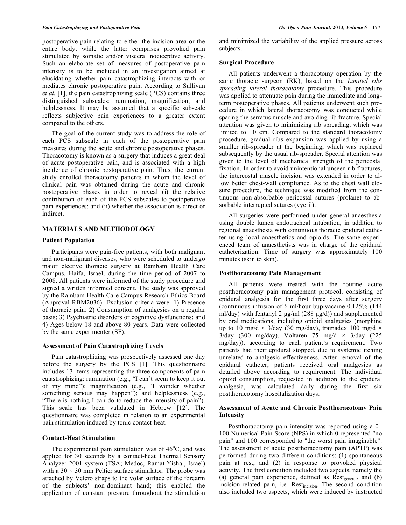postoperative pain relating to either the incision area or the entire body, while the latter comprises provoked pain stimulated by somatic and/or visceral nociceptive activity. Such an elaborate set of measures of postoperative pain intensity is to be included in an investigation aimed at elucidating whether pain catastrophizing interacts with or mediates chronic postoperative pain. According to Sullivan *et al.* [1], the pain catastrophizing scale (PCS) contains three distinguished subscales: rumination, magnification, and helplessness. It may be assumed that a specific subscale reflects subjective pain experiences to a greater extent compared to the others.

The goal of the current study was to address the role of each PCS subscale in each of the postoperative pain measures during the acute and chronic postoperative phases. Thoracotomy is known as a surgery that induces a great deal of acute postoperative pain, and is associated with a high incidence of chronic postoperative pain. Thus, the current study enrolled thoracotomy patients in whom the level of clinical pain was obtained during the acute and chronic postoperative phases in order to reveal (i) the relative contribution of each of the PCS subscales to postoperative pain experiences; and (ii) whether the association is direct or indirect.

## **MATERIALS AND METHODOLOGY**

## **Patient Population**

Participants were pain-free patients, with both malignant and non-malignant diseases, who were scheduled to undergo major elective thoracic surgery at Rambam Health Care Campus, Haifa, Israel, during the time period of 2007 to 2008. All patients were informed of the study procedure and signed a written informed consent. The study was approved by the Rambam Health Care Campus Research Ethics Board (Approval RBM2036). Exclusion criteria were: 1) Presence of thoracic pain; 2) Consumption of analgesics on a regular basis; 3) Psychiatric disorders or cognitive dysfunctions; and 4) Ages below 18 and above 80 years. Data were collected by the same experimenter (SF).

## **Assessment of Pain Catastrophizing Levels**

Pain catastrophizing was prospectively assessed one day before the surgery by the PCS [1]. This questionnaire includes 13 items representing the three components of pain catastrophizing: rumination (e.g., "I can't seem to keep it out of my mind"); magnification (e.g., "I wonder whether something serious may happen"); and helplessness (e.g., "There is nothing I can do to reduce the intensity of pain"). This scale has been validated in Hebrew [12]. The questionnaire was completed in relation to an experimental pain stimulation induced by tonic contact-heat.

## **Contact-Heat Stimulation**

The experimental pain stimulation was of  $46^{\circ}$ C, and was applied for 30 seconds by a contact-heat Thermal Sensory Analyzer 2001 system (TSA; Medoc, Ramat-Yishai, Israel) with a  $30 \times 30$  mm Peltier surface stimulator. The probe was attached by Velcro straps to the volar surface of the forearm of the subjects' non-dominant hand; this enabled the application of constant pressure throughout the stimulation

and minimized the variability of the applied pressure across subjects.

#### **Surgical Procedure**

All patients underwent a thoracotomy operation by the same thoracic surgeon (RK), based on the *Limited ribs spreading lateral thoracotomy* procedure. This procedure was applied to attenuate pain during the immediate and longterm postoperative phases. All patients underwent such procedure in which lateral thoracotomy was conducted while sparing the serratus muscle and avoiding rib fracture. Special attention was given to minimizing rib spreading, which was limited to 10 cm. Compared to the standard thoracotomy procedure, gradual ribs expansion was applied by using a smaller rib-spreader at the beginning, which was replaced subsequently by the usual rib-spreader. Special attention was given to the level of mechanical strength of the pericostal fixation. In order to avoid unintentional unseen rib fractures, the intercostal muscle incision was extended in order to allow better chest-wall compliance. As to the chest wall closure procedure, the technique was modified from the continuous non-absorbable pericostal sutures (prolane) to absorbable interrupted sutures (vycril).

All surgeries were performed under general anaesthesia using double lumen endotracheal intubation, in addition to regional anaesthesia with continuous thoracic epidural catheter using local anaesthetics and opioids. The same experienced team of anaesthetists was in charge of the epidural catheterization. Time of surgery was approximately 100 minutes (skin to skin).

## **Postthoracotomy Pain Management**

All patients were treated with the routine acute postthoracotomy pain management protocol, consisting of epidural analgesia for the first three days after surgery (continuous infusion of 6 ml/hour bupivacaine 0.125% (144 ml/day) with fentanyl 2 µg/ml (288 µg/d)) and supplemented by oral medications, including opioid analgesics (morphine up to 10 mg/d  $\times$  3/day (30 mg/day), tramadex 100 mg/d  $\times$  $3$ /day (300 mg/day), Voltaren 75 mg/d  $\times$  3/day (225 mg/day)), according to each patient's requirement. Two patients had their epidural stopped, due to systemic itching unrelated to analgesic effectiveness. After removal of the epidural catheter, patients received oral analgesics as detailed above according to requirement. The individual opioid consumption, requested in addition to the epidural analgesia, was calculated daily during the first six postthoracotomy hospitalization days.

## **Assessment of Acute and Chronic Postthoracotomy Pain Intensity**

Postthoracotomy pain intensity was reported using a 0– 100 Numerical Pain Score (NPS) in which 0 represented "no pain" and 100 corresponded to "the worst pain imaginable". The assessment of acute postthoracotomy pain (APTP) was performed during two different conditions: (1) spontaneous pain at rest, and (2) in response to provoked physical activity. The first condition included two aspects, namely the (a) general pain experience, defined as  $Rest_{general}$ , and (b) incision-related pain, i.e. Rest<sub>incision</sub>. The second condition also included two aspects, which were induced by instructed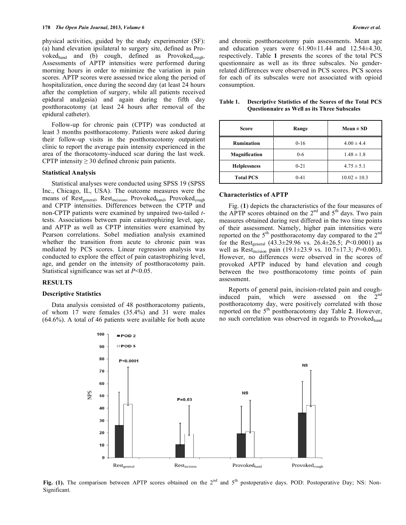physical activities, guided by the study experimenter (SF): (a) hand elevation ipsilateral to surgery site, defined as Provoked<sub>hand</sub> and (b) cough, defined as Provoked<sub>cough</sub>. Assessments of APTP intensities were performed during morning hours in order to minimize the variation in pain scores. APTP scores were assessed twice along the period of hospitalization, once during the second day (at least 24 hours after the completion of surgery, while all patients received epidural analgesia) and again during the fifth day postthoracotomy (at least 24 hours after removal of the epidural catheter).

Follow-up for chronic pain (CPTP) was conducted at least 3 months postthoracotomy. Patients were asked during their follow-up visits in the postthoracotomy outpatient clinic to report the average pain intensity experienced in the area of the thoracotomy-induced scar during the last week. CPTP intensity  $\geq$  30 defined chronic pain patients.

#### **Statistical Analysis**

Statistical analyses were conducted using SPSS 19 (SPSS Inc., Chicago, IL, USA). The outcome measures were the means of Rest<sub>general</sub>, Rest<sub>incision</sub>, Provoked<sub>hand</sub>, Provoked<sub>cough</sub> and CPTP intensities. Differences between the CPTP and non-CPTP patients were examined by unpaired two-tailed *t*tests. Associations between pain catastrophizing level, age, and APTP as well as CPTP intensities were examined by Pearson correlations. Sobel mediation analysis examined whether the transition from acute to chronic pain was mediated by PCS scores. Linear regression analysis was conducted to explore the effect of pain catastrophizing level, age, and gender on the intensity of postthoracotomy pain. Statistical significance was set at *P*<0.05.

#### **RESULTS**

#### **Descriptive Statistics**

Data analysis consisted of 48 postthoracotomy patients, of whom 17 were females (35.4%) and 31 were males (64.6%). A total of 46 patients were available for both acute



| <b>Score</b>        | Range    | $Mean \pm SD$    |
|---------------------|----------|------------------|
| <b>Rumination</b>   | $0-16$   | $4.00 \pm 4.4$   |
| Magnification       | $0 - 6$  | $1.48 \pm 1.8$   |
| <b>Helplessness</b> | $0 - 21$ | $4.75 \pm 5.1$   |
| <b>Total PCS</b>    | $0 - 41$ | $10.02 \pm 10.3$ |

## **Table 1. Descriptive Statistics of the Scores of the Total PCS Questionnaire as Well as its Three Subscales**

#### **Characteristics of APTP**

Fig. (**1**) depicts the characteristics of the four measures of the APTP scores obtained on the  $2<sup>nd</sup>$  and  $5<sup>th</sup>$  days. Two pain measures obtained during rest differed in the two time points of their assessment. Namely, higher pain intensities were reported on the  $5<sup>th</sup>$  postthoracotomy day compared to the  $2<sup>nd</sup>$ for the Rest<sub>general</sub>  $(43.3 \pm 29.96 \text{ vs. } 26.4 \pm 26.5; P < 0.0001)$  as well as Restincision pain (19.1±23.9 vs. 10.7±17.3; *P*=0.003). However, no differences were observed in the scores of provoked APTP induced by hand elevation and cough between the two postthoracotomy time points of pain assessment.

Reports of general pain, incision-related pain and coughinduced pain, which were assessed on the 2<sup>nd</sup> postthoracotomy day, were positively correlated with those reported on the 5th postthoracotomy day Table **2**. However, no such correlation was observed in regards to Provoked<sub>hand</sub>



Fig. (1). The comparison between APTP scores obtained on the 2<sup>nd</sup> and 5<sup>th</sup> postoperative days. POD: Postoperative Day; NS: Non-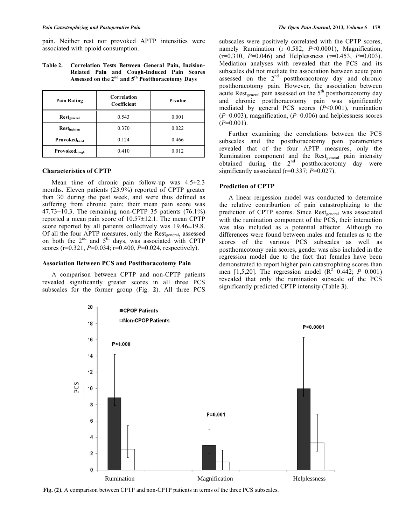pain. Neither rest nor provoked APTP intensities were associated with opioid consumption.

**Table 2. Correlation Tests Between General Pain, Incision-Related Pain and Cough-Induced Pain Scores Assessed on the 2nd and 5th Postthoracotomy Days**

| <b>Pain Rating</b>             | Correlation<br>Coefficient | P-value |
|--------------------------------|----------------------------|---------|
| $\text{Rest}_{\text{general}}$ | 0.543                      | 0.001   |
| <b>Restincision</b>            | 0.370                      | 0.022   |
| <b>Provoked</b> hand           | 0.124                      | 0.466   |
| Provoked <sub>cough</sub>      | 0.410                      | 0.012   |

#### **Characteristics of CPTP**

Mean time of chronic pain follow-up was  $4.5 \pm 2.3$ months. Eleven patients (23.9%) reported of CPTP greater than 30 during the past week, and were thus defined as suffering from chronic pain; their mean pain score was  $47.73\pm10.3$ . The remaining non-CPTP 35 patients (76.1%) reported a mean pain score of 10.57±12.1. The mean CPTP score reported by all patients collectively was  $19.46\pm19.8$ . Of all the four APTP measures, only the Rest<sub>general</sub>, assessed on both the  $2<sup>nd</sup>$  and  $5<sup>th</sup>$  days, was associated with CPTP scores (r=0.321, *P*=0.034; r=0.400, *P*=0.024, respectively).

## **Association Between PCS and Postthoracotomy Pain**

A comparison between CPTP and non-CPTP patients revealed significantly greater scores in all three PCS subscales for the former group (Fig. **2**). All three PCS subscales were positively correlated with the CPTP scores, namely Rumination (r=0.582, *P*<0.0001), Magnification, (r=0.310, *P*=0.046) and Helplessness (r=0.453, *P*=0.003). Mediation analyses with revealed that the PCS and its subscales did not mediate the association between acute pain assessed on the  $2<sup>nd</sup>$  postthoracotomy day and chronic postthoracotomy pain. However, the association between acute  $Rest_{general}$  pain assessed on the  $5<sup>th</sup>$  postthoracotomy day and chronic postthoracotomy pain was significantly mediated by general PCS scores (*P*<0.001), rumination (*P*=0.003), magnification, (*P*=0.006) and helplessness scores  $(P=0.001)$ .

Further examining the correlations between the PCS subscales and the postthoracotomy pain paramenters revealed that of the four APTP measures, only the Rumination component and the Rest<sub>general</sub> pain intensity obtained during the  $2<sup>nd</sup>$  postthoracotomy day were significantly associated (r=0.337; *P*=0.027).

#### **Prediction of CPTP**

A linear rergession model was conducted to determine the relative contriburtion of pain catastrophizing to the prediction of CPTP scores. Since Rest<sub>general</sub> was associated with the rumination component of the PCS, their interaction was also included as a potential affector. Although no differences were found between males and females as to the scores of the various PCS subscales as well as postthoracotomy pain scores, gender was also included in the regression model due to the fact that females have been demonstrated to report higher pain catastrophiing scores than men [1,5,20]. The regression model  $(R^2=0.442; P=0.001)$ revealed that only the rumination subscale of the PCS significantly predicted CPTP intensity (Table **3**).

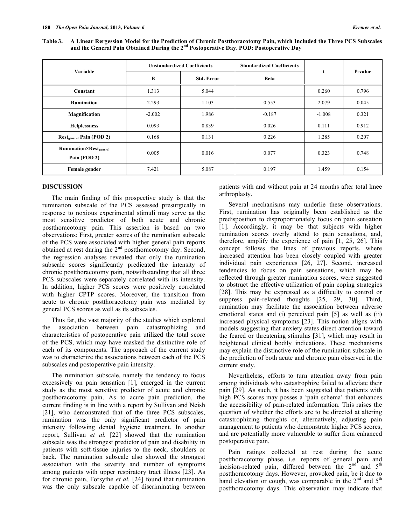| Variable                                                  | <b>Unstandardized Coefficients</b> |                   | <b>Standardized Coefficients</b> |          |         |
|-----------------------------------------------------------|------------------------------------|-------------------|----------------------------------|----------|---------|
|                                                           | В                                  | <b>Std. Error</b> | <b>Beta</b>                      | t        | P-value |
| Constant                                                  | 1.313                              | 5.044             |                                  | 0.260    | 0.796   |
| <b>Rumination</b>                                         | 2.293                              | 1.103             | 0.553                            | 2.079    | 0.045   |
| Magnification                                             | $-2.002$                           | 1.986             | $-0.187$                         | $-1.008$ | 0.321   |
| <b>Helplessness</b>                                       | 0.093                              | 0.839             | 0.026                            | 0.111    | 0.912   |
| <b>Restgeneral Pain (POD 2)</b>                           | 0.168                              | 0.131             | 0.226                            | 1.285    | 0.207   |
| <b>Rumination×Rest</b> <sub>general</sub><br>Pain (POD 2) | 0.005                              | 0.016             | 0.077                            | 0.323    | 0.748   |
| Female gender                                             | 7.421                              | 5.087             | 0.197                            | 1.459    | 0.154   |

## **DISCUSSION**

The main finding of this prospective study is that the rumination subscale of the PCS assessed presurgically in response to noxious experimental stimuli may serve as the most sensitive predictor of both acute and chronic postthoracotomy pain. This assertion is based on two observations: First, greater scores of the rumination subscale of the PCS were associated with higher general pain reports obtained at rest during the 2<sup>nd</sup> postthoracotomy day. Second, the regression analyses revealed that only the rumination subscale scores significantly predicated the intensity of chronic postthoracotomy pain, notwithstanding that all three PCS subscales were separately correlated with its intensity. In addition, higher PCS scores were positively correlated with higher CPTP scores. Moreover, the transition from acute to chronic postthoracotomy pain was mediated by general PCS scores as well as its subscales.

Thus far, the vast majority of the studies which explored the association between pain catastrophizing and characteristics of postoperative pain utilized the total score of the PCS, which may have masked the distinctive role of each of its components. The approach of the current study was to characterize the associations between each of the PCS subscales and postoperative pain intensity.

The rumination subscale, namely the tendency to focus excessively on pain sensation [1], emerged in the current study as the most sensitive predictor of acute and chronic postthoracotomy pain. As to acute pain prediction, the current finding is in line with a report by Sullivan and Neish [21], who demonstrated that of the three PCS subscales, rumination was the only significant predictor of pain intensity following dental hygiene treatment. In another report, Sullivan *et al.* [22] showed that the rumination subscale was the strongest predictor of pain and disability in patients with soft-tissue injuries to the neck, shoulders or back. The rumination subscale also showed the strongest association with the severity and number of symptoms among patients with upper respiratory tract illness [23]. As for chronic pain, Forsythe *et al.* [24] found that rumination was the only subscale capable of discriminating between

patients with and without pain at 24 months after total knee arthroplasty.

Several mechanisms may underlie these observations. First, rumination has originally been established as the predisposition to disproportionately focus on pain sensation [1]. Accordingly, it may be that subjects with higher rumination scores overly attend to pain sensations, and, therefore, amplify the experience of pain [1, 25, 26]. This concept follows the lines of previous reports, where increased attention has been closely coupled with greater individual pain experiences [26, 27]. Second, increased tendencies to focus on pain sensations, which may be reflected through greater rumination scores, were suggested to obstruct the effective utilization of pain coping strategies [28]. This may be expressed as a difficulty to control or suppress pain-related thoughts [25, 29, 30]. Third, rumination may facilitate the association between adverse emotional states and (i) perceived pain [5] as well as (ii) increased physical symptoms [23]. This notion aligns with models suggesting that anxiety states direct attention toward the feared or threatening stimulus [31], which may result in heightened clinical bodily indications. These mechanisms may explain the distinctive role of the rumination subscale in the prediction of both acute and chronic pain observed in the current study.

Nevertheless, efforts to turn attention away from pain among individuals who catastrophize failed to alleviate their pain [29]. As such, it has been suggested that patients with high PCS scores may posses a 'pain schema' that enhances the accessibility of pain-related information. This raises the question of whether the efforts are to be directed at altering catastrophizing thoughts or, alternatively, adjusting pain management to patients who demonstrate higher PCS scores, and are potentially more vulnerable to suffer from enhanced postoperative pain.

Pain ratings collected at rest during the acute postthoracotomy phase, i.e. reports of general pain and incision-related pain, differed between the  $2<sup>nd</sup>$  and  $5<sup>th</sup>$ postthoracotomy days. However, provoked pain, be it due to hand elevation or cough, was comparable in the  $2<sup>nd</sup>$  and  $5<sup>th</sup>$ postthoracotomy days. This observation may indicate that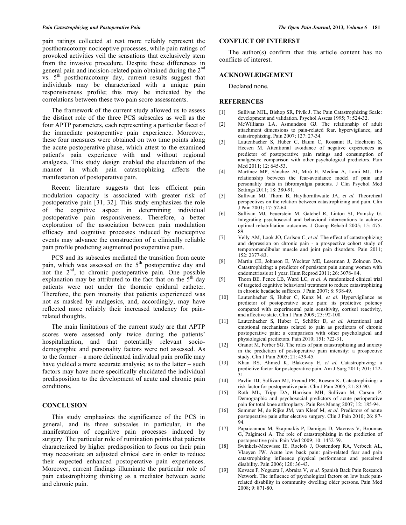pain ratings collected at rest more reliably represent the postthoracotomy nociceptive processes, while pain ratings of provoked activities veil the sensations that exclusively stem from the invasive procedure. Despite these differences in general pain and incision-related pain obtained during the 2<sup>nd</sup> vs.  $5<sup>th</sup>$  postthoracotomy day, current results suggest that individuals may be characterized with a unique pain responsiveness profile; this may be indicated by the correlations between these two pain score assessments.

The framework of the current study allowed us to assess the distinct role of the three PCS subscales as well as the four APTP parameters, each representing a particular facet of the immediate postoperative pain experience. Moreover, these four measures were obtained on two time points along the acute postoperative phase, which attest to the examined patient's pain experience with and without regional analgesia. This study design enabled the elucidation of the manner in which pain catastrophizing affects the manifestation of postoperative pain.

Recent literature suggests that less efficient pain modulation capacity is associated with greater risk of postoperative pain [31, 32]. This study emphasizes the role of the cognitive aspect in determining individual postoperative pain responsiveness. Therefore, a better exploration of the association between pain modulation efficacy and cognitive processes induced by nociceptive events may advance the construction of a clinically reliable pain profile predicting augmented postoperative pain.

PCS and its subscales mediated the transition from acute pain, which was assessed on the 5<sup>th</sup> postoperative day and not the  $2<sup>nd</sup>$ , to chronic postoperative pain. One possible explanation may be attributed to the fact that on the  $5<sup>th</sup>$  day patients were not under the thoracic epidural catheter. Therefore, the pain intensity that patients experienced was not as masked by analgesics, and, accordingly, may have reflected more reliably their increased tendency for painrelated thoughts.

The main limitations of the current study are that APTP scores were assessed only twice during the patients' hospitalization, and that potentially relevant sociodemographic and personality factors were not assessed. As to the former – a more delineated individual pain profile may have yielded a more accurate analysis; as to the latter – such factors may have more specifically elucidated the individual predisposition to the development of acute and chronic pain conditions.

#### **CONCLUSION**

This study emphasizes the significance of the PCS in general, and its three subscales in particular, in the manifestation of cognitive pain processes induced by surgery. The particular role of rumination points that patients characterized by higher predisposition to focus on their pain may necessitate an adjusted clinical care in order to reduce their expected enhanced postoperative pain experiences. Moreover, current findings illuminate the particular role of pain catastrophizing thinking as a mediator between acute and chronic pain.

## **CONFLICT OF INTEREST**

The author(s) confirm that this article content has no conflicts of interest.

#### **ACKNOWLEDGEMENT**

Declared none.

#### **REFERENCES**

- [1] Sullivan MJL, Bishop SR, Pivik J. The Pain Catastrophizing Scale: development and validation. Psychol Assess 1995; 7: 524-32.
- [2] McWilliams LA, Asmundson GJ. The relationship of adult attachment dimensions to pain-related fear, hypervigilance, and catastrophizing. Pain 2007; 127: 27-34.
- [3] Lautenbacher S, Huber C, Baum C, Rossaint R, Hochrein S, Heesen M. Attentional avoidance of negative experiences as predictor of postoperative pain ratings and consumption of analgesics: comparison with other psychological predictors. Pain Med 2011; 12: 645-53.
- [4] Martínez MP, Sánchez AI, Miró E, Medina A, Lami MJ. The relationship between the fear-avoidance model of pain and personality traits in fibromyalgia patients. J Clin Psychol Med Settings 2011; 18: 380-91.
- [5] Sullivan MJ, Thorn B, Haythornthwaite JA, *et al.* Theoretical perspectives on the relation between catastrophizing and pain. Clin J Pain 2001; 17: 52-64.
- [6] Sullivan MJ, Feuerstein M, Gatchel R, Linton SJ, Pransky G. Integrating psychosocial and behavioral interventions to achieve optimal rehabilitation outcomes. J Occup Rehabil 2005; 15: 475- 89.
- [7] Velly AM, Look JO, Carlson C, *et al.* The effect of catastrophizing and depression on chronic pain - a prospective cohort study of temporomandibular muscle and joint pain disorders. Pain 2011; 152: 2377-83.
- [8] Martin CE, Johnson E, Wechter ME, Leserman J, Zolnoun DA. Catastrophizing: a predictor of persistent pain among women with endometriosis at 1 year. Hum Reprod 2011; 26: 3078- 84.
- [9] Thorn BE, Pence LB, Ward LC, *et al.* A randomized clinical trial of targeted cognitive behavioral treatment to reduce catastrophizing in chronic headache sufferers. J Pain 2007; 8: 938-49.
- [10] Lautenbacher S, Huber C, Kunz M, *et al.* Hypervigilance as predictor of postoperative acute pain: its predictive potency compared with experimental pain sensitivity, cortisol reactivity, and affective state. Clin J Pain 2009; 25: 92-100.
- [11] Lautenbacher S, Huber C, Schöfer D, *et al.* Attentional and emotional mechanisms related to pain as predictors of chronic postoperative pain: a comparison with other psychological and physiological predictors. Pain 2010; 151: 722-31.
- [12] Granot M, Ferber SG. The roles of pain catastrophizing and anxiety in the prediction of postoperative pain intensity: a prospective study. Clin J Pain 2005; 21: 439-45.
- [13] Khan RS, Ahmed K, Blakeway E, *et al.* Catastrophizing: a predictive factor for postoperative pain. Am J Surg 2011; 201: 122- 31.
- [14] Pavlin DJ, Sullivan MJ, Freund PR, Roesen K. Catastrophizing: a risk factor for postoperative pain. Clin J Pain 2005; 21: 83-90.
- [15] Roth ML, Tripp DA, Harrison MH, Sullivan M, Carson P. Demographic and psychosocial predictors of acute perioperative pain for total knee arthroplasty. Pain Res Manag 2007; 12: 185-94.
- [16] Sommer M, de Rijke JM, van Kleef M, *et al.* Predictors of acute postoperative pain after elective surgery. Clin J Pain 2010; 26: 87-  $\mathbf{\hat{94}}$
- [17] Papaioannou M, Skapinakis P, Damigos D, Mavreas V, Broumas G, Palgimesi A. The role of catastrophizing in the prediction of postoperative pain. Pain Med 2009; 10: 1452-59.
- [18] Swinkels-Meewisse IE, Roelofs J, Oostendorp RA, Verbeek AL, Vlaeyen JW. Acute low back pain: pain-related fear and pain catastrophizing influence physical performance and perceived disability. Pain 2006; 120: 36-43.
- [19] Kovacs F, Noguera J, Abraira V, *et al.* Spanish Back Pain Research Network. The influence of psychological factors on low back painrelated disability in community dwelling older persons. Pain Med 2008; 9: 871-80.